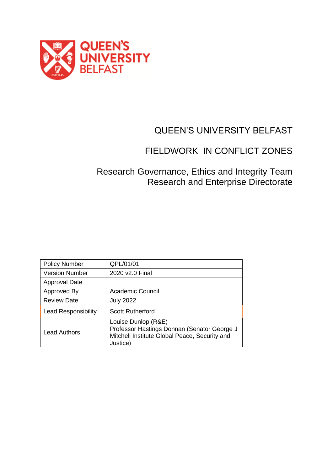

# QUEEN'S UNIVERSITY BELFAST

# FIELDWORK IN CONFLICT ZONES

### Research Governance, Ethics and Integrity Team Research and Enterprise Directorate

| <b>Policy Number</b>       | QPL/01/01                                                                                                                       |
|----------------------------|---------------------------------------------------------------------------------------------------------------------------------|
| <b>Version Number</b>      | 2020 v2.0 Final                                                                                                                 |
| <b>Approval Date</b>       |                                                                                                                                 |
| Approved By                | Academic Council                                                                                                                |
| <b>Review Date</b>         | <b>July 2022</b>                                                                                                                |
| <b>Lead Responsibility</b> | <b>Scott Rutherford</b>                                                                                                         |
| <b>Lead Authors</b>        | Louise Dunlop (R&E)<br>Professor Hastings Donnan (Senator George J<br>Mitchell Institute Global Peace, Security and<br>Justice) |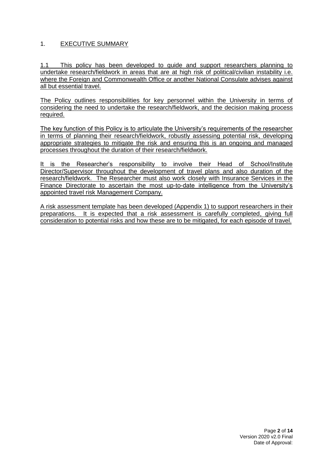### 1. EXECUTIVE SUMMARY

1.1 This policy has been developed to guide and support researchers planning to undertake research/fieldwork in areas that are at high risk of political/civilian instability i.e. where the Foreign and Commonwealth Office or another National Consulate advises against all but essential travel.

The Policy outlines responsibilities for key personnel within the University in terms of considering the need to undertake the research/fieldwork, and the decision making process required.

The key function of this Policy is to articulate the University's requirements of the researcher in terms of planning their research/fieldwork, robustly assessing potential risk, developing appropriate strategies to mitigate the risk and ensuring this is an ongoing and managed processes throughout the duration of their research/fieldwork.

It is the Researcher's responsibility to involve their Head of School/Institute Director/Supervisor throughout the development of travel plans and also duration of the research/fieldwork. The Researcher must also work closely with Insurance Services in the Finance Directorate to ascertain the most up-to-date intelligence from the University's appointed travel risk Management Company.

A risk assessment template has been developed (Appendix 1) to support researchers in their preparations. It is expected that a risk assessment is carefully completed, giving full consideration to potential risks and how these are to be mitigated, for each episode of travel.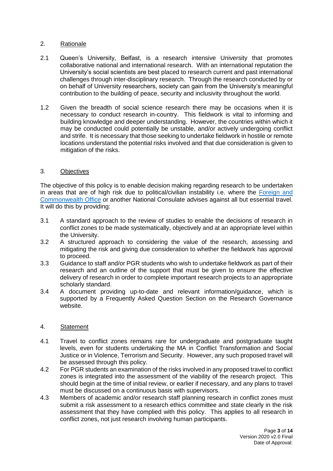#### 2. Rationale

- 2.1 Queen's University, Belfast, is a research intensive University that promotes collaborative national and international research. With an international reputation the University's social scientists are best placed to research current and past international challenges through inter-disciplinary research. Through the research conducted by or on behalf of University researchers, society can gain from the University's meaningful contribution to the building of peace, security and inclusivity throughout the world.
- 1.2 Given the breadth of social science research there may be occasions when it is necessary to conduct research in-country. This fieldwork is vital to informing and building knowledge and deeper understanding. However, the countries within which it may be conducted could potentially be unstable, and/or actively undergoing conflict and strife. It is necessary that those seeking to undertake fieldwork in hostile or remote locations understand the potential risks involved and that due consideration is given to mitigation of the risks.

#### 3. Objectives

The objective of this policy is to enable decision making regarding research to be undertaken in areas that are of high risk due to political/civilian instability i.e. where the Foreign and [Commonwealth Office](https://www.gov.uk/foreign-travel-advice) or another National Consulate advises against all but essential travel. It will do this by providing:

- 3.1 A standard approach to the review of studies to enable the decisions of research in conflict zones to be made systematically, objectively and at an appropriate level within the University.
- 3.2 A structured approach to considering the value of the research, assessing and mitigating the risk and giving due consideration to whether the fieldwork has approval to proceed.
- 3.3 Guidance to staff and/or PGR students who wish to undertake fieldwork as part of their research and an outline of the support that must be given to ensure the effective delivery of research in order to complete important research projects to an appropriate scholarly standard.
- 3.4 A document providing up-to-date and relevant information/guidance, which is supported by a Frequently Asked Question Section on the Research Governance website.

#### 4. Statement

- 4.1 Travel to conflict zones remains rare for undergraduate and postgraduate taught levels, even for students undertaking the MA in Conflict Transformation and Social Justice or in Violence, Terrorism and Security. However, any such proposed travel will be assessed through this policy.
- 4.2 For PGR students an examination of the risks involved in any proposed travel to conflict zones is integrated into the assessment of the viability of the research project. This should begin at the time of initial review, or earlier if necessary, and any plans to travel must be discussed on a continuous basis with supervisors.
- 4.3 Members of academic and/or research staff planning research in conflict zones must submit a risk assessment to a research ethics committee and state clearly in the risk assessment that they have complied with this policy. This applies to all research in conflict zones, not just research involving human participants.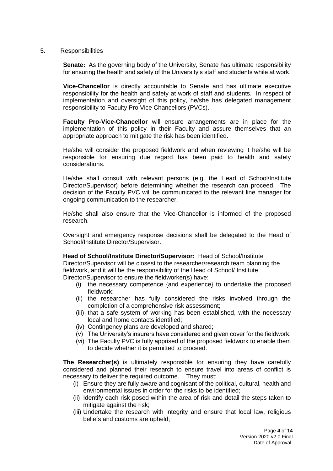#### 5. Responsibilities

**Senate:** As the governing body of the University, Senate has ultimate responsibility for ensuring the health and safety of the University's staff and students while at work.

**Vice-Chancellor** is directly accountable to Senate and has ultimate executive responsibility for the health and safety at work of staff and students. In respect of implementation and oversight of this policy, he/she has delegated management responsibility to Faculty Pro Vice Chancellors (PVCs).

**Faculty Pro-Vice-Chancellor** will ensure arrangements are in place for the implementation of this policy in their Faculty and assure themselves that an appropriate approach to mitigate the risk has been identified.

He/she will consider the proposed fieldwork and when reviewing it he/she will be responsible for ensuring due regard has been paid to health and safety considerations.

He/she shall consult with relevant persons (e.g. the Head of School/Institute Director/Supervisor) before determining whether the research can proceed. The decision of the Faculty PVC will be communicated to the relevant line manager for ongoing communication to the researcher.

He/she shall also ensure that the Vice-Chancellor is informed of the proposed research.

Oversight and emergency response decisions shall be delegated to the Head of School/Institute Director/Supervisor.

**Head of School/Institute Director/Supervisor:** Head of School/Institute Director/Supervisor will be closest to the researcher/research team planning the fieldwork, and it will be the responsibility of the Head of School/ Institute Director/Supervisor to ensure the fieldworker(s) have:

- (i) the necessary competence {and experience} to undertake the proposed fieldwork;
- (ii) the researcher has fully considered the risks involved through the completion of a comprehensive risk assessment;
- (iii) that a safe system of working has been established, with the necessary local and home contacts identified;
- (iv) Contingency plans are developed and shared;
- (v) The University's insurers have considered and given cover for the fieldwork;
- (vi) The Faculty PVC is fully apprised of the proposed fieldwork to enable them to decide whether it is permitted to proceed.

**The Researcher(s)** is ultimately responsible for ensuring they have carefully considered and planned their research to ensure travel into areas of conflict is necessary to deliver the required outcome. They must:

- (i) Ensure they are fully aware and cognisant of the political, cultural, health and environmental issues in order for the risks to be identified;
- (ii) Identify each risk posed within the area of risk and detail the steps taken to mitigate against the risk;
- (iii) Undertake the research with integrity and ensure that local law, religious beliefs and customs are upheld;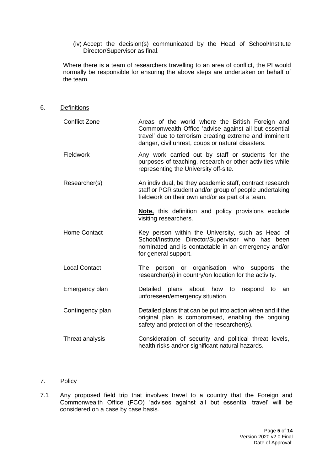(iv) Accept the decision(s) communicated by the Head of School/Institute Director/Supervisor as final.

Where there is a team of researchers travelling to an area of conflict, the PI would normally be responsible for ensuring the above steps are undertaken on behalf of the team.

6. Definitions

| Conflict Zone | Areas of the world where the British Foreign and<br>Commonwealth Office 'advise against all but essential<br>travel' due to terrorism creating extreme and imminent<br>danger, civil unrest, coups or natural disasters. |
|---------------|--------------------------------------------------------------------------------------------------------------------------------------------------------------------------------------------------------------------------|
| Fieldwork     | Any work carried out by staff or students for the                                                                                                                                                                        |

- purposes of teaching, research or other activities while representing the University off-site.
- Researcher(s) An individual, be they academic staff, contract research staff or PGR student and/or group of people undertaking fieldwork on their own and/or as part of a team.

**Note,** this definition and policy provisions exclude visiting researchers.

- Home Contact Key person within the University, such as Head of School/Institute Director/Supervisor who has been nominated and is contactable in an emergency and/or for general support.
- Local Contact **The person** or organisation who supports the researcher(s) in country/on location for the activity.
- Emergency plan **Detailed** plans about how to respond to an unforeseen/emergency situation.
- Contingency plan Detailed plans that can be put into action when and if the original plan is compromised, enabling the ongoing safety and protection of the researcher(s).
- Threat analysis Consideration of security and political threat levels, health risks and/or significant natural hazards.
- 7. Policy
- 7.1 Any proposed field trip that involves travel to a country that the Foreign and Commonwealth Office (FCO) 'advises against all but essential travel' will be considered on a case by case basis.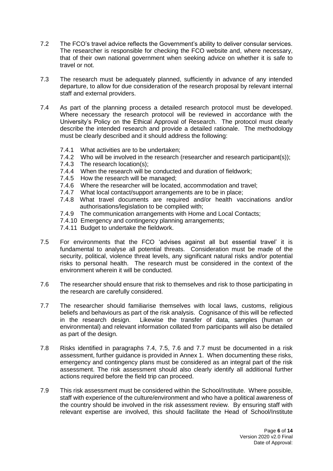- 7.2 The FCO's travel advice reflects the Government's ability to deliver consular services. The researcher is responsible for checking the FCO website and, where necessary, that of their own national government when seeking advice on whether it is safe to travel or not.
- 7.3 The research must be adequately planned, sufficiently in advance of any intended departure, to allow for due consideration of the research proposal by relevant internal staff and external providers.
- 7.4 As part of the planning process a detailed research protocol must be developed. Where necessary the research protocol will be reviewed in accordance with the University's Policy on the Ethical Approval of Research. The protocol must clearly describe the intended research and provide a detailed rationale. The methodology must be clearly described and it should address the following:
	- 7.4.1 What activities are to be undertaken;
	- 7.4.2 Who will be involved in the research (researcher and research participant(s));
	- 7.4.3 The research location(s);
	- 7.4.4 When the research will be conducted and duration of fieldwork;
	- 7.4.5 How the research will be managed;
	- 7.4.6 Where the researcher will be located, accommodation and travel;
	- 7.4.7 What local contact/support arrangements are to be in place;
	- 7.4.8 What travel documents are required and/or health vaccinations and/or authorisations/legislation to be complied with;
	- 7.4.9 The communication arrangements with Home and Local Contacts;
	- 7.4.10 Emergency and contingency planning arrangements;
	- 7.4.11 Budget to undertake the fieldwork.
- 7.5 For environments that the FCO 'advises against all but essential travel' it is fundamental to analyse all potential threats. Consideration must be made of the security, political, violence threat levels, any significant natural risks and/or potential risks to personal health. The research must be considered in the context of the environment wherein it will be conducted.
- 7.6 The researcher should ensure that risk to themselves and risk to those participating in the research are carefully considered.
- 7.7 The researcher should familiarise themselves with local laws, customs, religious beliefs and behaviours as part of the risk analysis. Cognisance of this will be reflected in the research design. Likewise the transfer of data, samples (human or environmental) and relevant information collated from participants will also be detailed as part of the design.
- 7.8 Risks identified in paragraphs 7.4, 7.5, 7.6 and 7.7 must be documented in a risk assessment, further guidance is provided in Annex 1. When documenting these risks, emergency and contingency plans must be considered as an integral part of the risk assessment. The risk assessment should also clearly identify all additional further actions required before the field trip can proceed.
- 7.9 This risk assessment must be considered within the School/Institute. Where possible, staff with experience of the culture/environment and who have a political awareness of the country should be involved in the risk assessment review. By ensuring staff with relevant expertise are involved, this should facilitate the Head of School/Institute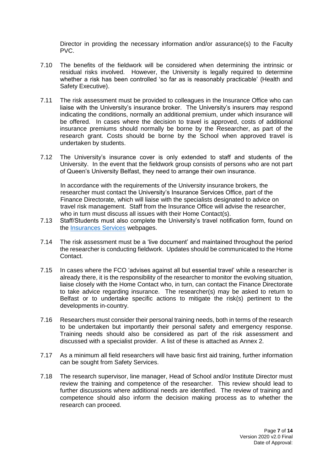Director in providing the necessary information and/or assurance(s) to the Faculty PVC.

- 7.10 The benefits of the fieldwork will be considered when determining the intrinsic or residual risks involved. However, the University is legally required to determine whether a risk has been controlled 'so far as is reasonably practicable' (Health and Safety Executive).
- 7.11 The risk assessment must be provided to colleagues in the Insurance Office who can liaise with the University's insurance broker. The University's insurers may respond indicating the conditions, normally an additional premium, under which insurance will be offered. In cases where the decision to travel is approved, costs of additional insurance premiums should normally be borne by the Researcher, as part of the research grant. Costs should be borne by the School when approved travel is undertaken by students.
- 7.12 The University's insurance cover is only extended to staff and students of the University. In the event that the fieldwork group consists of persons who are not part of Queen's University Belfast, they need to arrange their own insurance.

In accordance with the requirements of the University insurance brokers, the researcher must contact the University's Insurance Services Office, part of the Finance Directorate, which will liaise with the specialists designated to advice on travel risk management. Staff from the Insurance Office will advise the researcher, who in turn must discuss all issues with their Home Contact(s).

- 7.13 Staff/Students must also complete the University's travel notification form, found on the [Insurances Services](https://www.qub.ac.uk/directorates/FinanceDirectorate/visitors/insurance/travel-insurance/) webpages.
- 7.14 The risk assessment must be a 'live document' and maintained throughout the period the researcher is conducting fieldwork. Updates should be communicated to the Home Contact.
- 7.15 In cases where the FCO 'advises against all but essential travel' while a researcher is already there, it is the responsibility of the researcher to monitor the evolving situation, liaise closely with the Home Contact who, in turn, can contact the Finance Directorate to take advice regarding insurance. The researcher(s) may be asked to return to Belfast or to undertake specific actions to mitigate the risk(s) pertinent to the developments in-country.
- 7.16 Researchers must consider their personal training needs, both in terms of the research to be undertaken but importantly their personal safety and emergency response. Training needs should also be considered as part of the risk assessment and discussed with a specialist provider. A list of these is attached as Annex 2.
- 7.17 As a minimum all field researchers will have basic first aid training, further information can be sought from Safety Services.
- 7.18 The research supervisor, line manager, Head of School and/or Institute Director must review the training and competence of the researcher. This review should lead to further discussions where additional needs are identified. The review of training and competence should also inform the decision making process as to whether the research can proceed.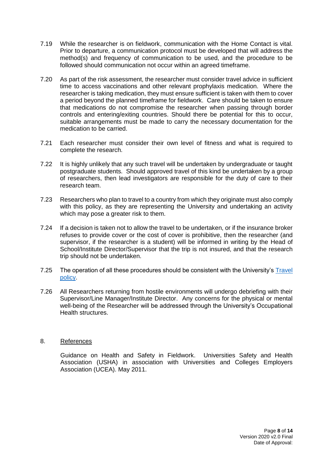- 7.19 While the researcher is on fieldwork, communication with the Home Contact is vital. Prior to departure, a communication protocol must be developed that will address the method(s) and frequency of communication to be used, and the procedure to be followed should communication not occur within an agreed timeframe.
- 7.20 As part of the risk assessment, the researcher must consider travel advice in sufficient time to access vaccinations and other relevant prophylaxis medication. Where the researcher is taking medication, they must ensure sufficient is taken with them to cover a period beyond the planned timeframe for fieldwork. Care should be taken to ensure that medications do not compromise the researcher when passing through border controls and entering/exiting countries. Should there be potential for this to occur, suitable arrangements must be made to carry the necessary documentation for the medication to be carried.
- 7.21 Each researcher must consider their own level of fitness and what is required to complete the research.
- 7.22 It is highly unlikely that any such travel will be undertaken by undergraduate or taught postgraduate students. Should approved travel of this kind be undertaken by a group of researchers, then lead investigators are responsible for the duty of care to their research team.
- 7.23 Researchers who plan to travel to a country from which they originate must also comply with this policy, as they are representing the University and undertaking an activity which may pose a greater risk to them.
- 7.24 If a decision is taken not to allow the travel to be undertaken, or if the insurance broker refuses to provide cover or the cost of cover is prohibitive, then the researcher (and supervisor, if the researcher is a student) will be informed in writing by the Head of School/Institute Director/Supervisor that the trip is not insured, and that the research trip should not be undertaken.
- 7.25 The operation of all these procedures should be consistent with the University's Travel [policy.](https://www.qub.ac.uk/directorates/FinanceDirectorate/Staff/finance-services/insurance/travel-insurance-policy/)
- 7.26 All Researchers returning from hostile environments will undergo debriefing with their Supervisor/Line Manager/Institute Director. Any concerns for the physical or mental well-being of the Researcher will be addressed through the University's Occupational Health structures.

#### 8. References

Guidance on Health and Safety in Fieldwork. Universities Safety and Health Association (USHA) in association with Universities and Colleges Employers Association (UCEA). May 2011.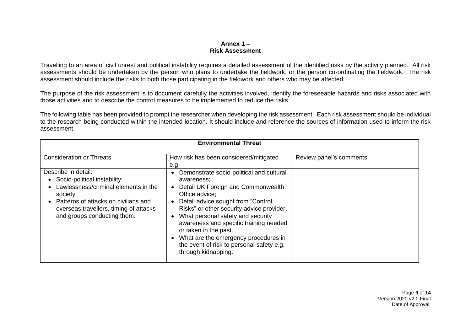#### **Annex 1 – Risk Assessment**

Travelling to an area of civil unrest and political instability requires a detailed assessment of the identified risks by the activity planned. All risk assessments should be undertaken by the person who plans to undertake the fieldwork, or the person co-ordinating the fieldwork. The risk assessment should include the risks to both those participating in the fieldwork and others who may be affected.

The purpose of the risk assessment is to document carefully the activities involved, identify the foreseeable hazards and risks associated with those activities and to describe the control measures to be implemented to reduce the risks.

The following table has been provided to prompt the researcher when developing the risk assessment. Each risk assessment should be individual to the research being conducted within the intended location. It should include and reference the sources of information used to inform the risk assessment.

| <b>Environmental Threat</b>                                                                                                                                                                                                           |                                                                                                                                                                                                                                                                                                                                                                                                                       |                         |
|---------------------------------------------------------------------------------------------------------------------------------------------------------------------------------------------------------------------------------------|-----------------------------------------------------------------------------------------------------------------------------------------------------------------------------------------------------------------------------------------------------------------------------------------------------------------------------------------------------------------------------------------------------------------------|-------------------------|
| <b>Consideration or Threats</b>                                                                                                                                                                                                       | How risk has been considered/mitigated<br>e.g.                                                                                                                                                                                                                                                                                                                                                                        | Review panel's comments |
| Describe in detail:<br>Socio-political instability;<br>Lawlessness/criminal elements in the<br>society;<br>Patterns of attacks on civilians and<br>$\bullet$<br>overseas travellers, timing of attacks<br>and groups conducting them. | Demonstrate socio-political and cultural<br>awareness;<br>Detail UK Foreign and Commonwealth<br>Office advice:<br>Detail advice sought from "Control<br>Risks" or other security advice provider.<br>What personal safety and security<br>awareness and specific training needed<br>or taken in the past.<br>What are the emergency procedures in<br>the event of risk to personal safety e.g.<br>through kidnapping. |                         |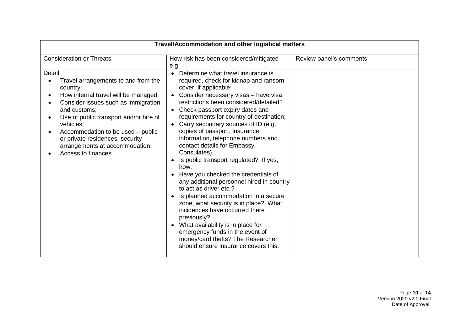| Travel/Accommodation and other logistical matters                                                                                                                                                                                                                                                                                                |                                                                                                                                                                                                                                                                                                                                                                                                                                                                                                                                                                                                                                                                                                                                                                                                                                                                                                                   |                         |
|--------------------------------------------------------------------------------------------------------------------------------------------------------------------------------------------------------------------------------------------------------------------------------------------------------------------------------------------------|-------------------------------------------------------------------------------------------------------------------------------------------------------------------------------------------------------------------------------------------------------------------------------------------------------------------------------------------------------------------------------------------------------------------------------------------------------------------------------------------------------------------------------------------------------------------------------------------------------------------------------------------------------------------------------------------------------------------------------------------------------------------------------------------------------------------------------------------------------------------------------------------------------------------|-------------------------|
| <b>Consideration or Threats</b>                                                                                                                                                                                                                                                                                                                  | How risk has been considered/mitigated<br>e.g.                                                                                                                                                                                                                                                                                                                                                                                                                                                                                                                                                                                                                                                                                                                                                                                                                                                                    | Review panel's comments |
| Detail:<br>Travel arrangements to and from the<br>country;<br>How internal travel will be managed.<br>Consider issues such as immigration<br>and customs;<br>Use of public transport and/or hire of<br>vehicles;<br>Accommodation to be used – public<br>or private residences; security<br>arrangements at accommodation.<br>Access to finances | Determine what travel insurance is<br>$\bullet$<br>required, check for kidnap and ransom<br>cover, if applicable;<br>Consider necessary visas - have visa<br>restrictions been considered/detailed?<br>• Check passport expiry dates and<br>requirements for country of destination;<br>Carry secondary sources of ID (e.g.<br>copies of passport, insurance<br>information, telephone numbers and<br>contact details for Embassy,<br>Consulates).<br>• Is public transport regulated? If yes,<br>how.<br>• Have you checked the credentials of<br>any additional personnel hired in country<br>to act as driver etc.?<br>• Is planned accommodation in a secure<br>zone, what security is in place? What<br>incidences have occurred there<br>previously?<br>• What availability is in place for<br>emergency funds in the event of<br>money/card thefts? The Researcher<br>should ensure insurance covers this. |                         |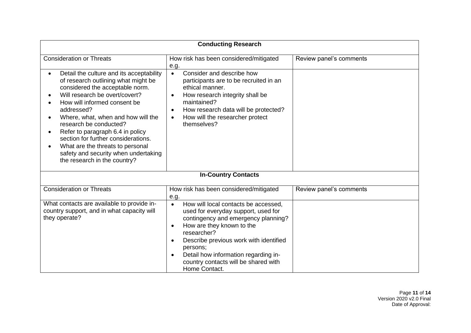| <b>Conducting Research</b>                                                                                                                                                                                                                                                                                                                                                                                                                                |                                                                                                                                                                                                                                                                                                                                                                           |                         |
|-----------------------------------------------------------------------------------------------------------------------------------------------------------------------------------------------------------------------------------------------------------------------------------------------------------------------------------------------------------------------------------------------------------------------------------------------------------|---------------------------------------------------------------------------------------------------------------------------------------------------------------------------------------------------------------------------------------------------------------------------------------------------------------------------------------------------------------------------|-------------------------|
| <b>Consideration or Threats</b>                                                                                                                                                                                                                                                                                                                                                                                                                           | How risk has been considered/mitigated<br>e.g.                                                                                                                                                                                                                                                                                                                            | Review panel's comments |
| Detail the culture and its acceptability<br>of research outlining what might be<br>considered the acceptable norm.<br>Will research be overt/covert?<br>How will informed consent be<br>addressed?<br>Where, what, when and how will the<br>research be conducted?<br>Refer to paragraph 6.4 in policy<br>section for further considerations.<br>What are the threats to personal<br>safety and security when undertaking<br>the research in the country? | Consider and describe how<br>$\bullet$<br>participants are to be recruited in an<br>ethical manner.<br>How research integrity shall be<br>$\bullet$<br>maintained?<br>How research data will be protected?<br>$\bullet$<br>How will the researcher protect<br>$\bullet$<br>themselves?                                                                                    |                         |
|                                                                                                                                                                                                                                                                                                                                                                                                                                                           | <b>In-Country Contacts</b>                                                                                                                                                                                                                                                                                                                                                |                         |
| <b>Consideration or Threats</b>                                                                                                                                                                                                                                                                                                                                                                                                                           | How risk has been considered/mitigated<br>e.g.                                                                                                                                                                                                                                                                                                                            | Review panel's comments |
| What contacts are available to provide in-<br>country support, and in what capacity will<br>they operate?                                                                                                                                                                                                                                                                                                                                                 | How will local contacts be accessed,<br>$\bullet$<br>used for everyday support, used for<br>contingency and emergency planning?<br>How are they known to the<br>$\bullet$<br>researcher?<br>Describe previous work with identified<br>$\bullet$<br>persons;<br>Detail how information regarding in-<br>$\bullet$<br>country contacts will be shared with<br>Home Contact. |                         |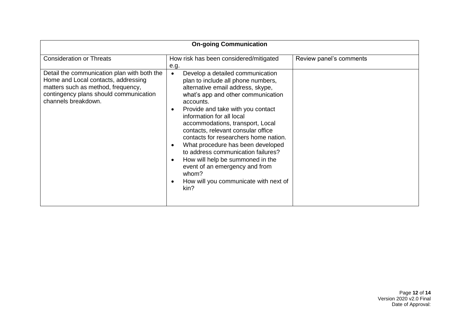| <b>On-going Communication</b>                                                                                                                                                             |                                                                                                                                                                                                                                                                                                                                                                                                                                                                                                                                                                                                                    |                         |
|-------------------------------------------------------------------------------------------------------------------------------------------------------------------------------------------|--------------------------------------------------------------------------------------------------------------------------------------------------------------------------------------------------------------------------------------------------------------------------------------------------------------------------------------------------------------------------------------------------------------------------------------------------------------------------------------------------------------------------------------------------------------------------------------------------------------------|-------------------------|
| <b>Consideration or Threats</b>                                                                                                                                                           | How risk has been considered/mitigated<br>e.g.                                                                                                                                                                                                                                                                                                                                                                                                                                                                                                                                                                     | Review panel's comments |
| Detail the communication plan with both the<br>Home and Local contacts, addressing<br>matters such as method, frequency,<br>contingency plans should communication<br>channels breakdown. | Develop a detailed communication<br>$\bullet$<br>plan to include all phone numbers,<br>alternative email address, skype,<br>what's app and other communication<br>accounts.<br>Provide and take with you contact<br>$\bullet$<br>information for all local<br>accommodations, transport, Local<br>contacts, relevant consular office<br>contacts for researchers home nation.<br>What procedure has been developed<br>$\bullet$<br>to address communication failures?<br>How will help be summoned in the<br>$\bullet$<br>event of an emergency and from<br>whom?<br>How will you communicate with next of<br>kin? |                         |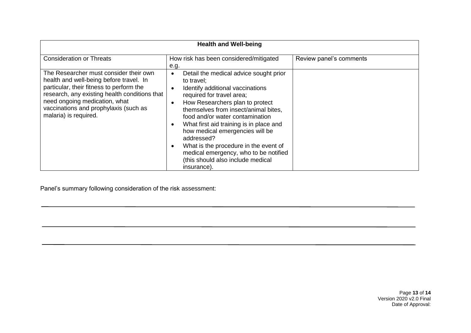| <b>Health and Well-being</b>                                                                                                                                                                                                                                                      |                                                                                                                                                                                                                                                                                                                                                                                                                                                                                                                                        |                         |
|-----------------------------------------------------------------------------------------------------------------------------------------------------------------------------------------------------------------------------------------------------------------------------------|----------------------------------------------------------------------------------------------------------------------------------------------------------------------------------------------------------------------------------------------------------------------------------------------------------------------------------------------------------------------------------------------------------------------------------------------------------------------------------------------------------------------------------------|-------------------------|
| <b>Consideration or Threats</b>                                                                                                                                                                                                                                                   | How risk has been considered/mitigated<br>e.g.                                                                                                                                                                                                                                                                                                                                                                                                                                                                                         | Review panel's comments |
| The Researcher must consider their own<br>health and well-being before travel. In<br>particular, their fitness to perform the<br>research, any existing health conditions that<br>need ongoing medication, what<br>vaccinations and prophylaxis (such as<br>malaria) is required. | Detail the medical advice sought prior<br>$\bullet$<br>to travel:<br>Identify additional vaccinations<br>$\bullet$<br>required for travel area;<br>How Researchers plan to protect<br>$\bullet$<br>themselves from insect/animal bites,<br>food and/or water contamination<br>What first aid training is in place and<br>$\bullet$<br>how medical emergencies will be<br>addressed?<br>What is the procedure in the event of<br>$\bullet$<br>medical emergency, who to be notified<br>(this should also include medical<br>insurance). |                         |

Panel's summary following consideration of the risk assessment: